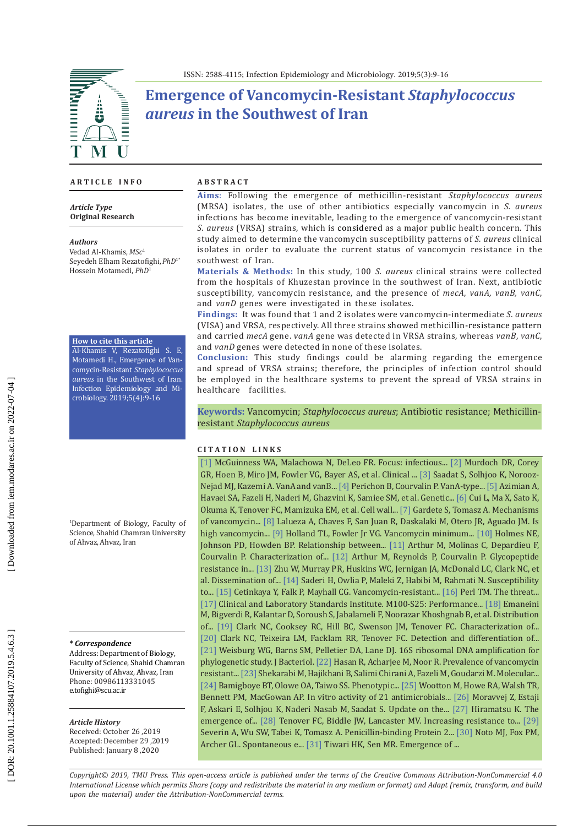

# **Emergence of Vancomycin-Resistant** *Staphylococcus aureus* **in the Southwest of Iran**

### **A R T I C L E I N F O**

*Article Type* **Original Research**

#### *Authors*

Vedad Al-Khamis,*MSc* 1 Seyedeh Elham Rezatofighi,*PhD*1\* Hossein Motamedi, *PhD* 1

### **How to cite this article**

Al-Khamis V, Rezatofighi S. E, Motamedi H., Emergence of Van comycin-Resistant *Staphylococcus aureus* in the Southwest of Iran. Infection Epidemiology and Mi crobiology. 2019;5(4):9-16

1 Department of Biology, Faculty of Science, Shahid Chamran University of Ahvaz, Ahvaz, Iran

### **\*** *Correspondence*

Address: Department of Biology, Faculty of Science, Shahid Chamran University of Ahvaz, Ahvaz, Iran Phone: 00986113331045 e.tofighi@scu.ac.ir

#### *Article History*

Received: October 26 ,2019 Accepted: December 29 ,2019 Published: January 8 ,2020

### **A B S T R A C T**

**Aims** : Following the emergence of methicillin-resistant *Staphylococcus aureus* (MRSA) isolates, the use of other antibiotics especially vancomycin in *S. aureus* infections has become inevitable, leading to the emergence of vancomycin-resistant *S. aureus* (VRSA) strains, which is considered as a major public health concern. This study aimed to determine the vancomycin susceptibility patterns of *S. aureus* clinical isolates in order to evaluate the current status of vancomycin resistance in the southwest of Iran.

**Materials & Methods:** In this study, 100 *S. aureus* clinical strains were collected from the hospitals of Khuzestan province in the southwest of Iran. Next, antibiotic susceptibility, vancomycin resistance, and the presence of *mecA*, *vanA, vanB, vanC*, and *vanD* genes were investigated in these isolates.

**Findings:** It was found that 1 and 2 isolates were vancomycin-intermediate *S. aureus* (VISA) and VRSA, respectively. All three strains showed methicillin-resistance pattern and carried *mecA* gene. *vanA* gene was detected in VRSA strains, whereas *vanB*, *vanC*, and *vanD* genes were detected in none of these isolates.

**Conclusion:** This study findings could be alarming regarding the emergence and spread of VRSA strains; therefore, the principles of infection control should be employed in the healthcare systems to prevent the spread of VRSA strains in healthcare facilities.

**Keywords:** Vancomycin; *Staphylococcus aureus*; Antibiotic resistance; Methicillinresistant *Staphylococcus aureus*

### **C I T A T I O N L I N K S**

[\[1\]](https://www.ncbi.nlm.nih.gov/pubmed/28656013) McGuinness WA, Malachowa N, DeLeo FR. Focus: infectious... [\[2\]](https://www.ncbi.nlm.nih.gov/pubmed/19273776) Murdoch DR, Corey GR, Hoen B, Miro JM, Fowler VG, Bayer AS, et al. Clinical ... [\[3\]](https://www.ncbi.nlm.nih.gov/pmc/articles/PMC4202220/) Saadat S, Solhjoo K, Norooz-Nejad MJ, Kazemi A. VanA and vanB... [\[4\]](https://www.ncbi.nlm.nih.gov/pubmed/19506057) Perichon B, Courvalin P. VanA-type... [\[5\]](https://www.ncbi.nlm.nih.gov/pubmed/22933598) Azimian A, Havaei SA, Fazeli H, Naderi M, Ghazvini K, Samiee SM, et al. Genetic... [\[6\]](https://www.ncbi.nlm.nih.gov/pubmed/12517819) Cui L, Ma X, Sato K, Okuma K, Tenover FC, Mamizuka EM, et al. Cell wall... [\[7\]](https://www.ncbi.nlm.nih.gov/pubmed/24983424) Gardete S, Tomasz A. Mechanisms of vancomycin... [\[8\]](https://www.ncbi.nlm.nih.gov/pubmed/20034343) Lalueza A, Chaves F, San Juan R, Daskalaki M, Otero JR, Aguado JM. Is high vancomycin... [\[9\]](https://www.ncbi.nlm.nih.gov/pubmed/21742827) Holland TL, Fowler Jr VG. Vancomycin minimum... [\[10\]](https://www.ncbi.nlm.nih.gov/pubmed/22593595) Holmes NE, Johnson PD, Howden BP. Relationship between... [\[11\]](https://www.ncbi.nlm.nih.gov/pmc/articles/PMC196104/) Arthur M, Molinas C, Depardieu F, Courvalin P. Characterization of... [\[12\]](https://www.ncbi.nlm.nih.gov/pubmed/8899966) Arthur M, Reynolds P, Courvalin P. Glycopeptide resistance in... [\[13\]](https://www.ncbi.nlm.nih.gov/pubmed/20660665) Zhu W, Murray PR, Huskins WC, Jernigan JA, McDonald LC, Clark NC, et al. Dissemination of... [\[14\]](https://www.researchgate.net/publication/260219133_Susceptibility_to_Vancomycin_in_Staphylococcus_Aureus_Isolated_From_Patients_of_Four_University-Affiliated_Hospitals_in_Tehran) Saderi H, Owlia P, Maleki Z, Habibi M, Rahmati N. Susceptibility to... [\[15\]](https://www.ncbi.nlm.nih.gov/pubmed/11023964) Cetinkaya Y, Falk P, Mayhall CG. Vancomycin-resistant... [\[16\] P](https://www.ncbi.nlm.nih.gov/pubmed/10348061)erl TM. The threat... [\[17\]](http://file.qums.ac.ir/repository/mmrc/CLSI2015.pdf) Clinical and Laboratory Standards Institute. M100-S25: Performance... [\[18\]](https://www.ncbi.nlm.nih.gov/pmc/articles/PMC3793882/) Emaneini M, Bigverdi R, Kalantar D, Soroush S, Jabalameli F, Noorazar Khoshgnab B, et al. Distribution of... [\[19\]](https://www.ncbi.nlm.nih.gov/pubmed/8285611) Clark NC, Cooksey RC, Hill BC, Swenson JM, Tenover FC. Characterization of.. [\[20\]](https://www.ncbi.nlm.nih.gov/pmc/articles/PMC105034/) Clark NC, Teixeira LM, Facklam RR, Tenover FC. Detection and differentiation of... [\[21\]](https://www.ncbi.nlm.nih.gov/pubmed/1987160) Weisburg WG, Barns SM, Pelletier DA, Lane DJ. 16S ribosomal DNA amplification for phylogenetic study. J Bacteriol. [\[22\]](https://www.ncbi.nlm.nih.gov/pubmed/28757721) Hasan R, Acharjee M, Noor R. Prevalence of vancomycin resistant... [\[23\]](https://www.ncbi.nlm.nih.gov/pubmed/28854219) Shekarabi M, Hajikhani B, Salimi Chirani A, Fazeli M, Goudarzi M. Molecular... [\[24\]](https://www.ncbi.nlm.nih.gov/pubmed/29760962) Bamigboye BT, Olowe OA, Taiwo SS. Phenotypic... [\[25\]](https://www.ncbi.nlm.nih.gov/pubmed/12407140) Wootton M, Howe RA, Walsh TR, Bennett PM, MacGowan AP. In vitro activity of 21 antimicrobials... [\[26\]](https://www.ncbi.nlm.nih.gov/pubmed/23880172) [Moravvej Z](https://www.ncbi.nlm.nih.gov/pubmed/?term=Moravvej%20Z%5BAuthor%5D&cauthor=true&cauthor_uid=23880172), Estaji [F](https://www.ncbi.nlm.nih.gov/pubmed/?term=Estaji%20F%5BAuthor%5D&cauthor=true&cauthor_uid=23880172), [Askari E](https://www.ncbi.nlm.nih.gov/pubmed/?term=Askari%20E%5BAuthor%5D&cauthor=true&cauthor_uid=23880172), [Solhjou K](https://www.ncbi.nlm.nih.gov/pubmed/?term=Solhjou%20K%5BAuthor%5D&cauthor=true&cauthor_uid=23880172), [Naderi Nasab M](https://www.ncbi.nlm.nih.gov/pubmed/?term=Naderi%20Nasab%20M%5BAuthor%5D&cauthor=true&cauthor_uid=23880172), [Saadat S](https://www.ncbi.nlm.nih.gov/pubmed/?term=Saadat%20S%5BAuthor%5D&cauthor=true&cauthor_uid=23880172). Update on the... [\[27\]](https://www.ncbi.nlm.nih.gov/pubmed/9684652) Hiramatsu K. The emergence of... [\[28\] T](https://www.ncbi.nlm.nih.gov/pubmed/11294734)enover FC, Biddle JW, Lancaster MV. Increasing resistance to... [\[29\]](https://www.ncbi.nlm.nih.gov/pubmed/15561827) Severin A, Wu SW, Tabei K, Tomasz A. Penicillin-binding Protein 2... [\[30\]](https://www.ncbi.nlm.nih.gov/pubmed/18212094) Noto MJ, Fox PM, Archer GL. Spontaneous e... [\[31\]](https://www.ncbi.nlm.nih.gov/pubmed/17067393) Tiwari HK, Sen MR. Emergence of ...

*Copyright© 2019, TMU Press. This open-access article is published under the terms of the Creative Commons Attribution-NonCommercial 4.0 International License which permits Share (copy and redistribute the material in any medium or format) and Adapt (remix, transform, and build upon the material) under the Attribution-NonCommercial terms.*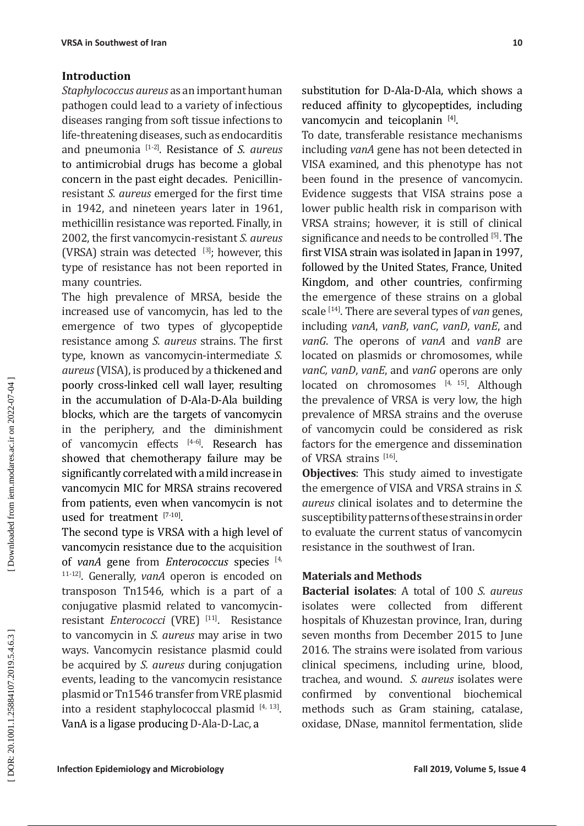## **Introduction**

*Staphylococcus aureus* as an important human pathogen could lead to a variety of infectious diseases ranging from soft tissue infections to life-threatening diseases, such as endocarditis and pneumonia [ 1 - 2 ] . Resistance of *S. aureus* to antimicrobial drugs has become a global concern in the past eight decades. Penicillinresistant *S. aureus* emerged for the first time in 1942, and nineteen years later in 1961, methicillin resistance was reported. Finally, in 2002, the first vancomycin-resistant *S. aureus* (VRSA) strain was detected  $\left[3\right]$ ; however, this type of resistance has not been reported in many countries.

The high prevalence of MRSA, beside the increased use of vancomycin, has led to the emergence of two types of glycopeptide resistance among *S. aureus* strains. The first type, known as vancomycin-intermediate *S. aureus* (VISA), is produced by a thickened and poorly cross-linked cell wall layer, resulting in the accumulation of D-Ala-D-Ala building blocks, which are the targets of vancomycin in the periphery, and the diminishment of vancomycin effects [4-6 ] . Research has showed that chemotherapy failure may be significantly correlated with a mild increase in vancomycin MIC for MRSA strains recovered from patients, even when vancomycin is not used for treatment  $[7-10]$ .

The second type is VRSA with a high level of vancomycin resistance due to the acquisition of *vanA* gene from *Enterococcus* species [ 4, 11 -12 ] . Generally, *vanA* operon is encoded on transposon Tn1546, which is a part of a conjugative plasmid related to vancomycinresistant *Enterococci* (VRE) [11] . Resistance to vancomycin in *S. aureus* may arise in two ways. Vancomycin resistance plasmid could be acquired by *S. aureus* during conjugation events, leading to the vancomycin resistance plasmid or Tn1546 transfer from VRE plasmid into a resident staphylococcal plasmid  $[4, 13]$ . VanA is a ligase producing D-Ala-D-Lac, a

substitution for D-Ala-D-Ala, which shows a reduced affinity to glycopeptides, including vancomycin and teicoplanin [4].

To date, transferable resistance mechanisms including *vanA* gene has not been detected in VISA examined, and this phenotype has not been found in the presence of vancomycin. Evidence suggests that VISA strains pose a lower public health risk in comparison with VRSA strains; however, it is still of clinical significance and needs to be controlled [ 5 ] . The first VISA strain was isolated in Japan in 1997, followed by the United States, France, United Kingdom, and other countries, confirming the emergence of these strains on a global scale [14 ] . There are several types of *van* genes, including *vanA*, *vanB*, *vanC*, *vanD*, *vanE*, and *vanG*. The operons of *vanA* and *vanB* are located on plasmids or chromosomes, while *vanC, vanD*, *vanE*, and *vanG* operons are only located on chromosomes  $[4, 15]$ . Although the prevalence of VRSA is very low, the high prevalence of MRSA strains and the overuse of vancomycin could be considered as risk factors for the emergence and dissemination of VRSA strains  $[16]$ .

**Objectives**: This study aimed to investigate the emergence of VISA and VRSA strains in *S. aureus* clinical isolates and to determine the susceptibility patterns of these strains in order to evaluate the current status of vancomycin resistance in the southwest of Iran.

### **Materials and Methods**

**Bacterial isolates**: A total of 100 *S. aureus*  isolates were collected from different hospitals of Khuzestan province, Iran, during seven months from December 2015 to June 2016. The strains were isolated from various clinical specimens, including urine, blood, trachea, and wound. *S. aureus* isolates were confirmed by conventional biochemical methods such as Gram staining, catalase, oxidase, DNase, mannitol fermentation, slide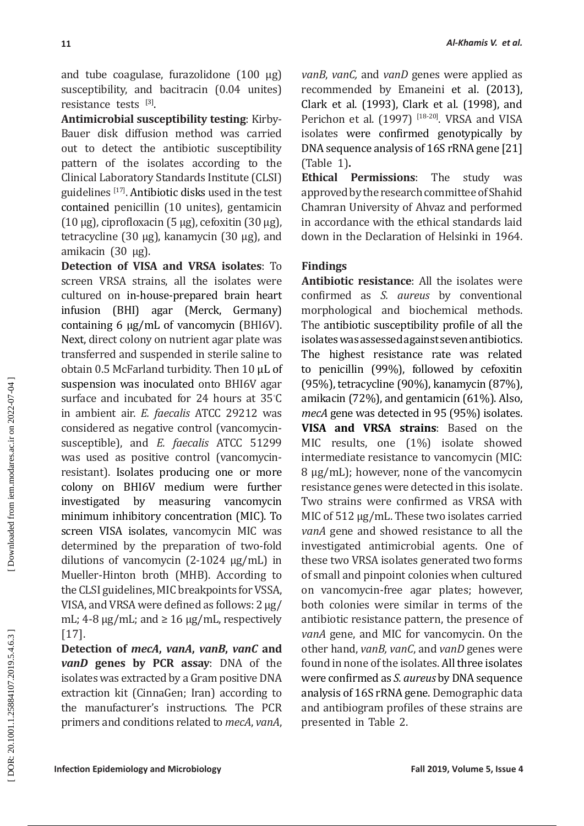and tube coagulase, furazolidone (100 µg) susceptibility, and bacitracin (0.04 unites) resistance tests [3].

**Antimicrobial susceptibility testing**: Kirby-Bauer disk diffusion method was carried out to detect the antibiotic susceptibility pattern of the isolates according to the Clinical Laboratory Standards Institute (CLSI) guidelines  $1^{17}$ . Antibiotic disks used in the test contained penicillin (10 unites), gentamicin (10 μg), ciprofloxacin (5 μg), cefoxitin (30 µg), tetracycline (30 µg), kanamycin (30 µg), and amikacin (30 µg).

**Detection of VISA and VRSA isolates**: To screen VRSA strains, all the isolates were cultured on in-house-prepared brain heart infusion (BHI) agar (Merck, Germany) containing 6 µg/mL of vancomycin (BHI6V). Next, direct colony on nutrient agar plate was transferred and suspended in sterile saline to obtain 0.5 McFarland turbidity. Then 10 µL of suspension was inoculated onto BHI6V agar surface and incubated for 24 hours at 35℃ in ambient air. *E. faecalis* ATCC 29212 was considered as negative control (vancomycinsusceptible), and *E. faecalis* ATCC 51299 was used as positive control (vancomycinresistant). Isolates producing one or more colony on BHI6V medium were further investigated by measuring vancomycin minimum inhibitory concentration (MIC). To screen VISA isolates, vancomycin MIC was determined by the preparation of two-fold dilutions of vancomycin (2-1024 µg/mL) in Mueller-Hinton broth (MHB). According to the CLSI guidelines, MIC breakpoints for VSSA, VISA, and VRSA were defined as follows: 2 μg/ mL;  $4-8 \mu g/mL$ ; and  $\geq 16 \mu g/mL$ , respectively [17].

**Detection of** *mecA***,** *vanA***,** *vanB***,** *vanC* **and**  *vanD* **genes by PCR assay**: DNA of the isolates was extracted by a Gram positive DNA extraction kit (CinnaGen; Iran) according to the manufacturer's instructions. The PCR primers and conditions related to *mecA*, *vanA*, *vanB*, *vanC,* and *vanD* genes were applied as recommended by Emaneini et al. (2013), Clark et al. (1993), Clark et al. (1998), and [Perichon](https://www.ncbi.nlm.nih.gov/pubmed/?term=Perichon%20B%5BAuthor%5D&cauthor=true&cauthor_uid=9303405) et al.  $(1997)$   $[18-20]$ . VRSA and VISA isolates were confirmed genotypically by DNA sequence analysis of 16S rRNA gene [ 21] (Table 1) **.**

**Ethical Permissions**: The study was approved by the research committee of Shahid Chamran University of Ahvaz and performed in accordance with the ethical standards laid down in the Declaration of Helsinki in 1964.

# **Findings**

**Antibiotic resistance**: All the isolates were confirmed as *S. aureus* by conventional morphological and biochemical methods. The antibiotic susceptibility profile of all the isolates was assessed against seven antibiotics. The highest resistance rate was related to penicillin (99%), followed by cefoxitin (95%), tetracycline (90%), kanamycin (87%), amikacin (72%), and gentamicin (61%). Also, *mecA* gene was detected in 95 (95%) isolates. **VISA and VRSA strains**: Based on the MIC results, one (1%) isolate showed intermediate resistance to vancomycin (MIC: 8 µg/mL); however, none of the vancomycin resistance genes were detected in this isolate. Two strains were confirmed as VRSA with MIC of 512 µg/mL. These two isolates carried *vanA* gene and showed resistance to all the investigated antimicrobial agents. One of these two VRSA isolates generated two forms of small and pinpoint colonies when cultured on vancomycin-free agar plates; however, both colonies were similar in terms of the antibiotic resistance pattern, the presence of *vanA* gene, and MIC for vancomycin. On the other hand, *vanB, vanC*, and *vanD* genes were found in none of the isolates. All three isolates were confirmed as *S. aureus* by DNA sequence analysis of 16S rRNA gene. Demographic data and antibiogram profiles of these strains are presented in Table 2.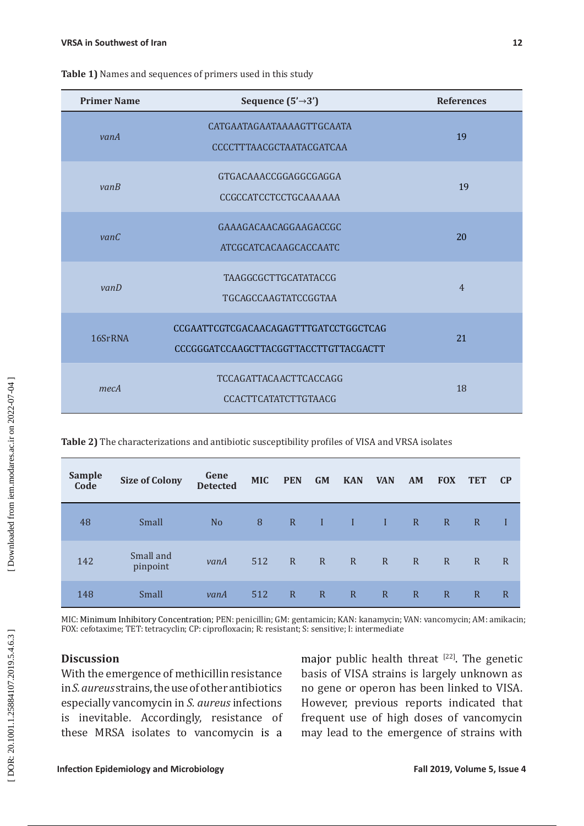| <b>Primer Name</b> | Sequence $(5' \rightarrow 3')$                                                 | <b>References</b> |  |  |
|--------------------|--------------------------------------------------------------------------------|-------------------|--|--|
| vanA               | CATGAATAGAATAAAAGTTGCAATA<br>CCCCTTTAACGCTAATACGATCAA                          | 19                |  |  |
| vanB               | GTGACAAACCGGAGGCGAGGA<br><b>CCGCCATCCTCCTGCAAAAAA</b>                          | 19                |  |  |
| vanC               | GAAAGACAACAGGAAGACCGC<br>ATCGCATCACAAGCACCAATC                                 | 20                |  |  |
| vanD               | <b>TAAGGCGCTTGCATATACCG</b><br><b>TGCAGCCAAGTATCCGGTAA</b>                     | $\overline{4}$    |  |  |
| 16SrRNA            | CCGAATTCGTCGACAACAGAGTTTGATCCTGGCTCAG<br>CCCGGGATCCAAGCTTACGGTTACCTTGTTACGACTT | 21                |  |  |
| mecA               | <b>TCCAGATTACAACTTCACCAGG</b><br><b>CCACTTCATATCTTGTAACG</b>                   | 18                |  |  |

**Table 1)** Names and sequences of primers used in this study

**Table 2)** The characterizations and antibiotic susceptibility profiles of VISA and VRSA isolates

| <b>Sample</b><br>Code | <b>Size of Colony</b> | Gene<br><b>Detected</b> | <b>MIC</b> | <b>PEN</b>   | <b>GM</b>    | <b>KAN</b>   | <b>VAN</b>     | AM           | <b>FOX</b>   | <b>TET</b>   | $\mathbf{C}$   |
|-----------------------|-----------------------|-------------------------|------------|--------------|--------------|--------------|----------------|--------------|--------------|--------------|----------------|
| 48                    | Small                 | N <sub>o</sub>          | 8          | $\mathbf R$  | $\mathbf{I}$ | Æ            | $\blacksquare$ | $\mathbf R$  | $\mathbf R$  | $\mathbf R$  |                |
| 142                   | Small and<br>pinpoint | vanA                    | 512        | $\mathbf{R}$ | $\mathbb{R}$ | $\mathbf R$  | $\mathbb{R}$   | $\mathbb{R}$ | $\mathbb{R}$ | $\mathbb{R}$ | R              |
| 148                   | Small                 | vanA                    | 512        | $\mathbb{R}$ | $\mathbb{R}$ | $\mathbb{R}$ | $\mathbf R$    | $\mathbb{R}$ | $\mathbb{R}$ | $\mathbb{R}$ | $\overline{R}$ |

MIC: Minimum Inhibitory Concentration; PEN: penicillin; GM: gentamicin; KAN: kanamycin; VAN: vancomycin; AM: amikacin; FOX: cefotaxime; TET: tetracyclin; CP: ciprofloxacin; R: resistant; S: sensitive; I: intermediate

### **Discussion**

With the emergence of methicillin resistance in *S. aureus* strains, the use of other antibiotics especially vancomycin in *S. aureus* infections is inevitable. Accordingly, resistance of these MRSA isolates to vancomycin is a

major public health threat  $[22]$ . The genetic basis of VISA strains is largely unknown as no gene or operon has been linked to VISA. However, previous reports indicated that frequent use of high doses of vancomycin may lead to the emergence of strains with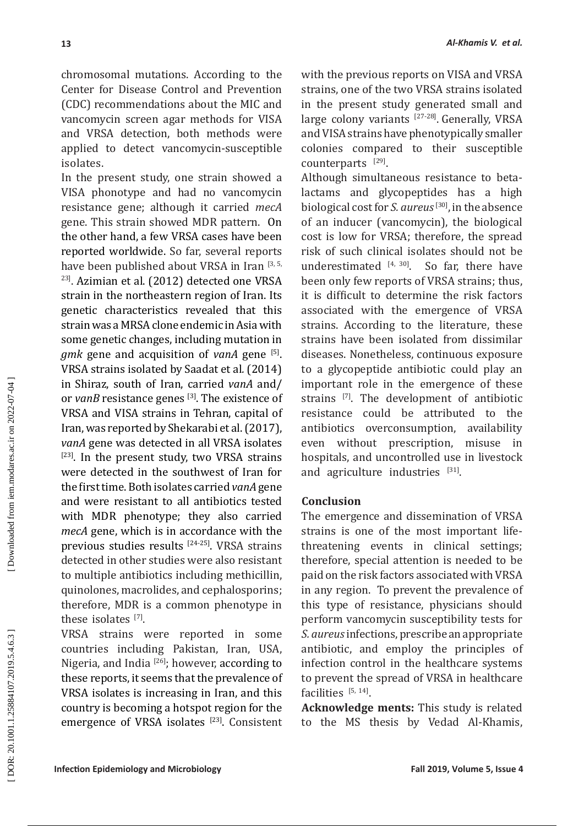chromosomal mutations. According to the Center for Disease Control and Prevention (CDC) recommendations about the MIC and vancomycin screen agar methods for VISA and VRSA detection, both methods were applied to detect vancomycin-susceptible isolates.

In the present study, one strain showed a VISA phonotype and had no vancomycin resistance gene; although it carried *mecA* gene. This strain showed MDR pattern. On the other hand, a few VRSA cases have been reported worldwide. So far, several reports have been published about VRSA in Iran <sup>[3, 5,</sup>] 23] . Azimian et al. (2012) detected one VRSA strain in the northeastern region of Iran. Its genetic characteristics revealed that this strain was a MRSA clone endemic in Asia with some genetic changes, including mutation in *gmk* gene and acquisition of *vanA* gene [5]. VRSA strains isolated by Saadat et al *.* (2014) in Shiraz, south of Iran, carried *vanA* and/ or *vanB* resistance genes [3]. The existence of VRSA and VISA strains in Tehran, capital of Iran, was reported by Shekarabi et al.(2017), *vanA* gene was detected in all VRSA isolates  $[23]$ . In the present study, two VRSA strains were detected in the southwest of Iran for the first time. Both isolates carried *vanA* gene and were resistant to all antibiotics tested with MDR phenotype; they also carried *mecA* gene, which is in accordance with the previous studies results [ 24- 25]. VRSA strains detected in other studies were also resistant to multiple antibiotics including methicillin, quinolones, macrolides, and cephalosporins; therefore, MDR is a common phenotype in these isolates  $^{[7]}$ .

VRSA strains were reported in some countries including Pakistan, Iran, USA, Nigeria, and India<sup>[26]</sup>; however, according to these reports, it seems that the prevalence of VRSA isolates is increasing in Iran, and this country is becoming a hotspot region for the emergence of VRSA isolates <sup>[23]</sup>. Consistent with the previous reports on VISA and VRSA strains, one of the two VRSA strains isolated in the present study generated small and large colony variants  $^{[27-28]}$ . Generally, VRSA and VISA strains have phenotypically smaller colonies compared to their susceptible counterparts  $[29]$ .

Although simultaneous resistance to betalactams and glycopeptides has a high biological cost for *S. aureus*[30], in the absence of an inducer (vancomycin), the biological cost is low for VRSA; therefore, the spread risk of such clinical isolates should not be underestimated  $[4, 30]$ . So far, there have been only few reports of VRSA strains; thus, it is difficult to determine the risk factors associated with the emergence of VRSA strains. According to the literature, these strains have been isolated from dissimilar diseases. Nonetheless, continuous exposure to a glycopeptide antibiotic could play an important role in the emergence of these strains  $[7]$ . The development of antibiotic resistance could be attributed to the antibiotics overconsumption, availability even without prescription, misuse in hospitals, and uncontrolled use in livestock and agriculture industries [31].

# **Conclusion**

The emergence and dissemination of VRSA strains is one of the most important lifethreatening events in clinical settings; therefore, special attention is needed to be paid on the risk factors associated with VRSA in any region. To prevent the prevalence of this type of resistance, physicians should perform vancomycin susceptibility tests for *S. aureus* infections, prescribe an appropriate antibiotic, and employ the principles of infection control in the healthcare systems to prevent the spread of VRSA in healthcare facilities  $[5, 14]$ .

**Acknowledge ments:** This study is related to the MS thesis by Vedad Al-Khamis,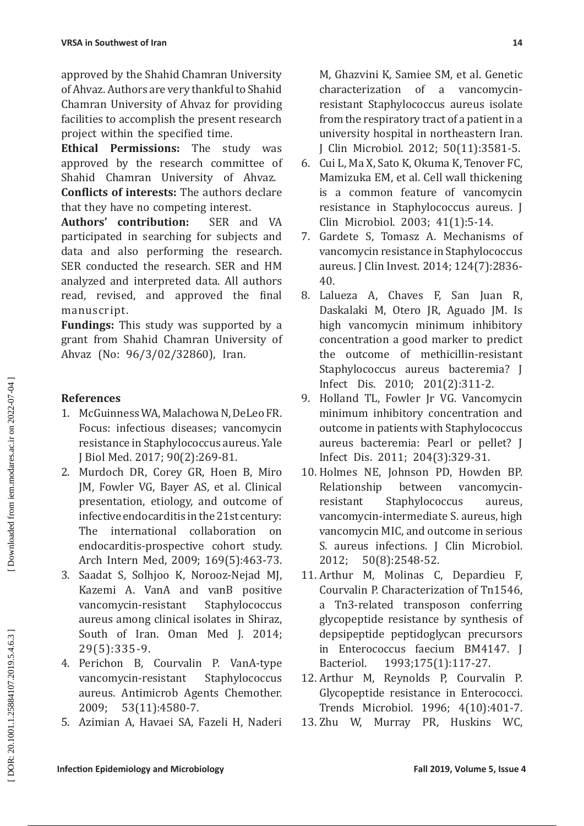approved by the Shahid Chamran University of Ahvaz. Authors are very thankful to Shahid Chamran University of Ahvaz for providing facilities to accomplish the present research project within the specified time.

**Ethical Permissions:** The study was approved by the research committee of Shahid Chamran University of Ahvaz. **Conflicts of interests:** The authors declare

that they have no competing interest.<br> **Authors' contribution:** SER and VA Authors' contribution: participated in searching for subjects and data and also performing the research. SER conducted the research. SER and HM analyzed and interpreted data. All authors read, revised, and approved the final manuscript.

**Fundings:** This study was supported by a grant from Shahid Chamran University of Ahvaz (No: 96/3/02/32860), Iran.

# **References**

- 1. McGuinness WA, Malachowa N, DeLeo FR. Focus: infectious diseases; vancomycin resistance in Staphylococcus aureus. Yale J Biol Med. 2017; 90(2):269-81.
- 2. Murdoch DR, Corey GR, Hoen B, Miro JM, Fowler VG, Bayer AS, et al. Clinical presentation, etiology, and outcome of infective endocarditis in the 21st century: The international collaboration on endocarditis-prospective cohort study. Arch Intern Med, 2009; 169(5):463-73.
- 3. Saadat S, Solhjoo K, Norooz-Nejad MJ, Kazemi A. VanA and vanB positive vancomycin-resistant Staphylococcus aureus among clinical isolates in Shiraz, South of Iran. Oman Med J. 2014; 29(5):335-9.
- 4. Perichon B, Courvalin P. VanA-type vancomycin-resistant Staphylococcus aureus. Antimicrob Agents Chemother. 2009; 53(11):4580-7.
- 5. Azimian A, Havaei SA, Fazeli H, Naderi

M, Ghazvini K, Samiee SM, et al. Genetic characterization of a vancomycinresistant Staphylococcus aureus isolate from the respiratory tract of a patient in a university hospital in northeastern Iran. J Clin Microbiol. 2012; 50(11):3581-5.

- 6. Cui L, Ma X, Sato K, Okuma K, Tenover FC, Mamizuka EM, et al. Cell wall thickening is a common feature of vancomycin resistance in Staphylococcus aureus. J Clin Microbiol. 2003; 41(1):5-14.
- 7. Gardete S, Tomasz A. Mechanisms of vancomycin resistance in Staphylococcus aureus. J Clin Invest. 2014; 124(7):2836- 40.
- 8. Lalueza A, Chaves F, San Juan R, Daskalaki M, Otero JR, Aguado JM. Is high vancomycin minimum inhibitory concentration a good marker to predict the outcome of methicillin-resistant Staphylococcus aureus bacteremia? J Infect Dis. 2010; 201(2):311-2.
- 9. Holland TL, Fowler Jr VG. Vancomycin minimum inhibitory concentration and outcome in patients with Staphylococcus aureus bacteremia: Pearl or pellet? J Infect Dis. 2011; 204(3):329-31.
- 10. Holmes NE, Johnson PD, Howden BP. Relationship between vancomycinresistant Staphylococcus aureus, vancomycin-intermediate S. aureus, high vancomycin MIC, and outcome in serious S. aureus infections. J Clin Microbiol. 2012; 50(8):2548-52.
- 11. Arthur M, Molinas C, Depardieu F, Courvalin P. Characterization of Tn1546, a Tn3-related transposon conferring glycopeptide resistance by synthesis of depsipeptide peptidoglycan precursors in Enterococcus faecium BM4147. J Bacteriol. 1993;175(1):117-27.
- 12. Arthur M, Reynolds P, Courvalin P. Glycopeptide resistance in Enterococci. Trends Microbiol. 1996; 4(10):401-7.
- 13. Zhu W, Murray PR, Huskins WC,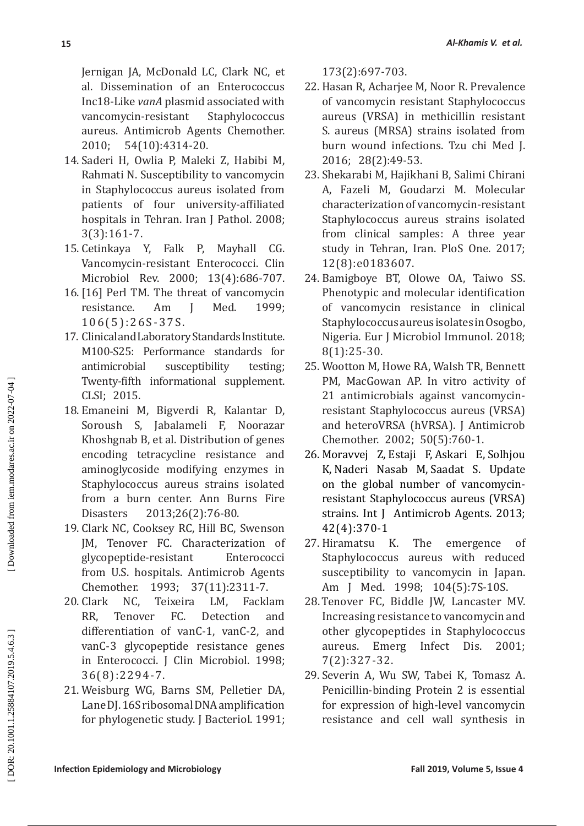Jernigan JA, McDonald LC, Clark NC, et al. Dissemination of an Enterococcus Inc18-Like *vanA* plasmid associated with vancomycin-resistant aureus. Antimicrob Agents Chemother. 2010; 54(10):4314-20.

- 14. Saderi H, Owlia P, Maleki Z, Habibi M, Rahmati N. Susceptibility to vancomycin in Staphylococcus aureus isolated from patients of four university-affiliated hospitals in Tehran. Iran J Pathol. 2008; 3(3):161-7.
- 15. Cetinkaya Y, Falk P, Mayhall CG. Vancomycin-resistant Enterococci. Clin Microbiol Rev. 2000; 13(4):686-707.
- 16. [16] Perl TM. The threat of vancomycin<br>resistance. Am I Med. 1999: resistance. Am J Med. 1999; 106(5):26S-37S.
- 17. Clinical and Laboratory Standards Institute. M100-S25: Performance standards for antimicrobial susceptibility testing; Twenty-fifth informational supplement. CLSI; 2015.
- 18. Emaneini M, Bigverdi R, Kalantar D, Soroush S, Jabalameli F, Noorazar Khoshgnab B, et al. Distribution of genes encoding tetracycline resistance and aminoglycoside modifying enzymes in Staphylococcus aureus strains isolated from a burn center. Ann Burns Fire Disasters 2013;26(2):76-80.
- 19. Clark NC, Cooksey RC, Hill BC, Swenson JM, Tenover FC. Characterization of<br>glycopeptide-resistant Enterococci glycopeptide-resistant from U.S. hospitals. Antimicrob Agents<br>Chemother. 1993: 37(11):2311-7. 1993; 37(11):2311-7.
- 20. Clark NC, Teixeira LM, Facklam RR, Tenover FC. Detection and differentiation of vanC-1, vanC-2, and vanC-3 glycopeptide resistance genes in Enterococci. J Clin Microbiol. 1998; 36(8):2294-7.
- 21. Weisburg WG, Barns SM, Pelletier DA, Lane DJ. 16S ribosomal DNA amplification for phylogenetic study. J Bacteriol. 1991;

173(2):697-703.

- 22. Hasan R, Acharjee M, Noor R. Prevalence of vancomycin resistant Staphylococcus aureus (VRSA) in methicillin resistant S. aureus (MRSA) strains isolated from burn wound infections. Tzu chi Med J. 2016; 28(2):49-53.
- 23. Shekarabi M, Hajikhani B, Salimi Chirani A, Fazeli M, Goudarzi M. Molecular characterization of vancomycin-resistant Staphylococcus aureus strains isolated from clinical samples: A three year study in Tehran, Iran. PloS One. 2017; 12(8):e0183607.
- 24. Bamigboye BT, Olowe OA, Taiwo SS. Phenotypic and molecular identification of vancomycin resistance in clinical Staphylococcus aureus isolates in Osogbo, Nigeria. Eur J Microbiol Immunol. 2018; 8(1):25-30.
- 25. Wootton M, Howe RA, Walsh TR, Bennett PM, MacGowan AP. In vitro activity of 21 antimicrobials against vancomycinresistant Staphylococcus aureus (VRSA) and heteroVRSA (hVRSA). J Antimicrob Chemother. 2002; 50(5):760-1.
- 26. [Moravvej Z](https://www.ncbi.nlm.nih.gov/pubmed/?term=Moravvej%20Z%5BAuthor%5D&cauthor=true&cauthor_uid=23880172) , [Estaji F](https://www.ncbi.nlm.nih.gov/pubmed/?term=Estaji%20F%5BAuthor%5D&cauthor=true&cauthor_uid=23880172), [Askari E](https://www.ncbi.nlm.nih.gov/pubmed/?term=Askari%20E%5BAuthor%5D&cauthor=true&cauthor_uid=23880172) , [Solhjou](https://www.ncbi.nlm.nih.gov/pubmed/?term=Solhjou%20K%5BAuthor%5D&cauthor=true&cauthor_uid=23880172)  [K](https://www.ncbi.nlm.nih.gov/pubmed/?term=Solhjou%20K%5BAuthor%5D&cauthor=true&cauthor_uid=23880172) , [Naderi Nasab M](https://www.ncbi.nlm.nih.gov/pubmed/?term=Naderi%20Nasab%20M%5BAuthor%5D&cauthor=true&cauthor_uid=23880172) , [Saadat S](https://www.ncbi.nlm.nih.gov/pubmed/?term=Saadat%20S%5BAuthor%5D&cauthor=true&cauthor_uid=23880172). Update on the global number of vancomycinresistant Staphylococcus aureus (VRSA) strains. Int J Antimicrob Agents. 2013; 42(4):370-1
- 27. Hiramatsu K. The emergence of Staphylococcus aureus with reduced susceptibility to vancomycin in Japan. Am J Med. 1998; 104(5):7S-10S.
- 28. Tenover FC, Biddle JW, Lancaster MV. Increasing resistance to vancomycin and other glycopeptides in Staphylococcus aureus. Emerg Infect Dis. 2001; 7(2):327-32.
- 29. Severin A, Wu SW, Tabei K, Tomasz A. Penicillin-binding Protein 2 is essential for expression of high-level vancomycin resistance and cell wall synthesis in